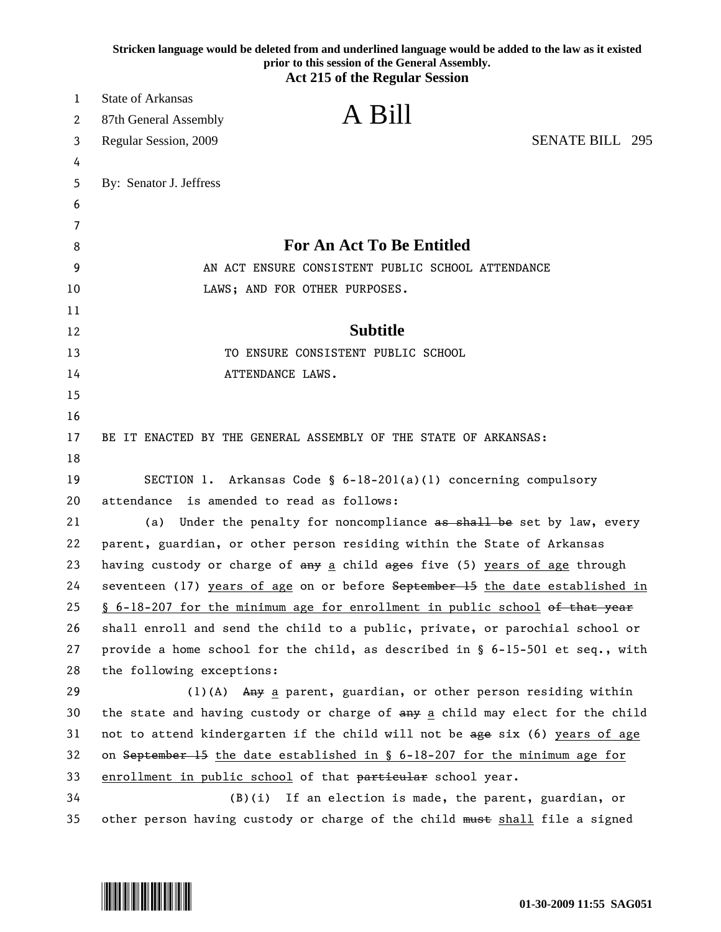|    | Stricken language would be deleted from and underlined language would be added to the law as it existed<br>prior to this session of the General Assembly.<br><b>Act 215 of the Regular Session</b> |
|----|----------------------------------------------------------------------------------------------------------------------------------------------------------------------------------------------------|
| 1  | State of Arkansas                                                                                                                                                                                  |
| 2  | A Bill<br>87th General Assembly                                                                                                                                                                    |
| 3  | <b>SENATE BILL 295</b><br>Regular Session, 2009                                                                                                                                                    |
| 4  |                                                                                                                                                                                                    |
| 5  | By: Senator J. Jeffress                                                                                                                                                                            |
| 6  |                                                                                                                                                                                                    |
| 7  |                                                                                                                                                                                                    |
| 8  | <b>For An Act To Be Entitled</b>                                                                                                                                                                   |
| 9  | AN ACT ENSURE CONSISTENT PUBLIC SCHOOL ATTENDANCE                                                                                                                                                  |
| 10 | LAWS; AND FOR OTHER PURPOSES.                                                                                                                                                                      |
| 11 |                                                                                                                                                                                                    |
| 12 | <b>Subtitle</b>                                                                                                                                                                                    |
| 13 | TO ENSURE CONSISTENT PUBLIC SCHOOL                                                                                                                                                                 |
| 14 | ATTENDANCE LAWS.                                                                                                                                                                                   |
| 15 |                                                                                                                                                                                                    |
| 16 |                                                                                                                                                                                                    |
| 17 | BE IT ENACTED BY THE GENERAL ASSEMBLY OF THE STATE OF ARKANSAS:                                                                                                                                    |
| 18 |                                                                                                                                                                                                    |
| 19 | SECTION 1. Arkansas Code § 6-18-201(a)(1) concerning compulsory                                                                                                                                    |
| 20 | attendance is amended to read as follows:                                                                                                                                                          |
| 21 | Under the penalty for noncompliance as shall be set by law, every<br>(a)                                                                                                                           |
| 22 | parent, guardian, or other person residing within the State of Arkansas                                                                                                                            |
| 23 | having custody or charge of any a child ages five (5) years of age through                                                                                                                         |
| 24 | seventeen (17) years of age on or before September 15 the date established in                                                                                                                      |
| 25 | § 6-18-207 for the minimum age for enrollment in public school of that year                                                                                                                        |
| 26 | shall enroll and send the child to a public, private, or parochial school or                                                                                                                       |
| 27 | provide a home school for the child, as described in $\S$ 6-15-501 et seq., with                                                                                                                   |
| 28 | the following exceptions:                                                                                                                                                                          |
| 29 | $(1)$ (A) Any a parent, guardian, or other person residing within                                                                                                                                  |
| 30 | the state and having custody or charge of any a child may elect for the child                                                                                                                      |
| 31 | not to attend kindergarten if the child will not be age six (6) years of age                                                                                                                       |
| 32 | on September 15 the date established in $\S$ 6-18-207 for the minimum age for                                                                                                                      |
| 33 | enrollment in public school of that particular school year.                                                                                                                                        |
| 34 | $(B)(i)$ If an election is made, the parent, guardian, or                                                                                                                                          |
| 35 | other person having custody or charge of the child must shall file a signed                                                                                                                        |